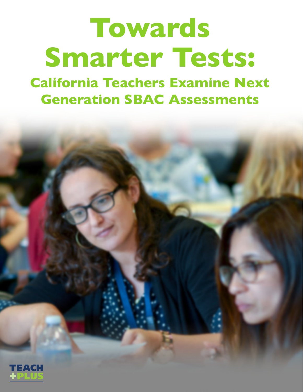# **Towards Smarter Tests:**

**California Teachers Examine Next Generation SBAC Assessments**

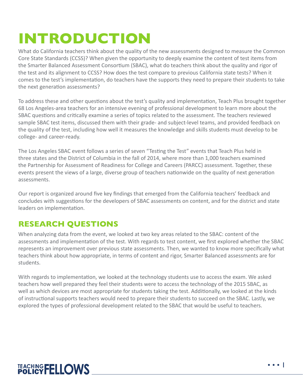# **INTRODUCTION**

What do California teachers think about the quality of the new assessments designed to measure the Common Core State Standards (CCSS)? When given the opportunity to deeply examine the content of test items from the Smarter Balanced Assessment Consortium (SBAC), what do teachers think about the quality and rigor of the test and its alignment to CCSS? How does the test compare to previous California state tests? When it comes to the test's implementation, do teachers have the supports they need to prepare their students to take the next generation assessments?

To address these and other questions about the test's quality and implementation, Teach Plus brought together 68 Los Angeles-area teachers for an intensive evening of professional development to learn more about the SBAC questions and critically examine a series of topics related to the assessment. The teachers reviewed sample SBAC test items, discussed them with their grade- and subject-level teams, and provided feedback on the quality of the test, including how well it measures the knowledge and skills students must develop to be college- and career-ready.

The Los Angeles SBAC event follows a series of seven "Testing the Test" events that Teach Plus held in three states and the District of Columbia in the fall of 2014, where more than 1,000 teachers examined the Partnership for Assessment of Readiness for College and Careers (PARCC) assessment. Together, these events present the views of a large, diverse group of teachers nationwide on the quality of next generation assessments.

Our report is organized around five key findings that emerged from the California teachers' feedback and concludes with suggestions for the developers of SBAC assessments on content, and for the district and state leaders on implementation.

#### **RESEARCH QUESTIONS**

When analyzing data from the event, we looked at two key areas related to the SBAC: content of the assessments and implementation of the test. With regards to test content, we first explored whether the SBAC represents an improvement over previous state assessments. Then, we wanted to know more specifically what teachers think about how appropriate, in terms of content and rigor, Smarter Balanced assessments are for students.

With regards to implementation, we looked at the technology students use to access the exam. We asked teachers how well prepared they feel their students were to access the technology of the 2015 SBAC, as well as which devices are most appropriate for students taking the test. Additionally, we looked at the kinds of instructional supports teachers would need to prepare their students to succeed on the SBAC. Lastly, we explored the types of professional development related to the SBAC that would be useful to teachers.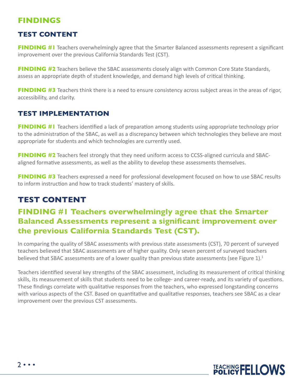#### **FINDINGS**

#### **TEST CONTENT**

**FINDING #1** Teachers overwhelmingly agree that the Smarter Balanced assessments represent a significant improvement over the previous California Standards Test (CST).

**FINDING #2** Teachers believe the SBAC assessments closely align with Common Core State Standards, assess an appropriate depth of student knowledge, and demand high levels of critical thinking.

**FINDING #3** Teachers think there is a need to ensure consistency across subject areas in the areas of rigor, accessibility, and clarity.

#### **TEST IMPLEMENTATION**

**FINDING #1** Teachers identified a lack of preparation among students using appropriate technology prior to the administration of the SBAC, as well as a discrepancy between which technologies they believe are most appropriate for students and which technologies are currently used.

**FINDING #2** Teachers feel strongly that they need uniform access to CCSS-aligned curricula and SBACaligned formative assessments, as well as the ability to develop these assessments themselves.

**FINDING #3** Teachers expressed a need for professional development focused on how to use SBAC results to inform instruction and how to track students' mastery of skills.

#### **TEST CONTENT**

#### **FINDING #1 Teachers overwhelmingly agree that the Smarter Balanced Assessments represent a significant improvement over the previous California Standards Test (CST).**

In comparing the quality of SBAC assessments with previous state assessments (CST), 70 percent of surveyed teachers believed that SBAC assessments are of higher quality. Only seven percent of surveyed teachers believed that SBAC assessments are of a lower quality than previous state assessments (see Figure 1). $<sup>1</sup>$ </sup>

Teachers identified several key strengths of the SBAC assessment, including its measurement of critical thinking skills, its measurement of skills that students need to be college- and career-ready, and its variety of questions. These findings correlate with qualitative responses from the teachers, who expressed longstanding concerns with various aspects of the CST. Based on quantitative and qualitative responses, teachers see SBAC as a clear improvement over the previous CST assessments.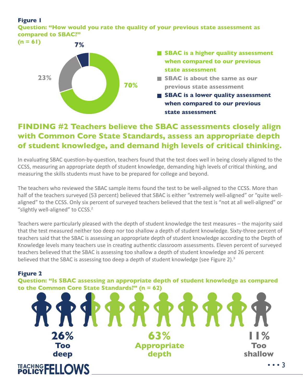#### **Figure 1**

**Question: "How would you rate the quality of your previous state assessment as compared to SBAC?"** 



- **SBAC** is a higher quality assessment **when compared to our previous state assessment**
- **SBAC is about the same as our previous state assessment**
- **SBAC** is a lower quality assessment **when compared to our previous state assessment**

#### **FINDING #2 Teachers believe the SBAC assessments closely align with Common Core State Standards, assess an appropriate depth of student knowledge, and demand high levels of critical thinking.**

In evaluating SBAC question-by-question, teachers found that the test does well in being closely aligned to the CCSS, measuring an appropriate depth of student knowledge, demanding high levels of critical thinking, and measuring the skills students must have to be prepared for college and beyond.

The teachers who reviewed the SBAC sample items found the test to be well-aligned to the CCSS. More than half of the teachers surveyed (53 percent) believed that SBAC is either "extremely well-aligned" or "quite wellaligned" to the CCSS. Only six percent of surveyed teachers believed that the test is "not at all well-aligned" or "slightly well-aligned" to CCSS.<sup>2</sup>

Teachers were particularly pleased with the depth of student knowledge the test measures – the majority said that the test measured neither too deep nor too shallow a depth of student knowledge. Sixty-three percent of teachers said that the SBAC is assessing an appropriate depth of student knowledge according to the Depth of Knowledge levels many teachers use in creating authentic classroom assessments. Eleven percent of surveyed teachers believed that the SBAC is assessing too shallow a depth of student knowledge and 26 percent believed that the SBAC is assessing too deep a depth of student knowledge (see Figure 2).<sup>3</sup>

#### **Figure 2**

**Question: "Is SBAC assessing an appropriate depth of student knowledge as compared to the Common Core State Standards?" (n = 62)**

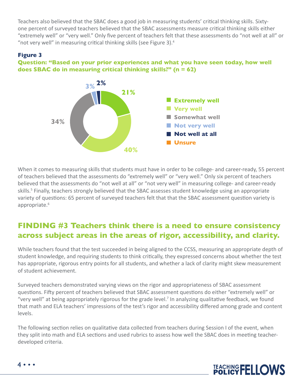Teachers also believed that the SBAC does a good job in measuring students' critical thinking skills. Sixtyone percent of surveyed teachers believed that the SBAC assessments measure critical thinking skills either "extremely well" or "very well." Only five percent of teachers felt that these assessments do "not well at all" or "not very well" in measuring critical thinking skills (see Figure 3).<sup>4</sup>

#### **Figure 3**

#### **Question: "Based on your prior experiences and what you have seen today, how well does SBAC do in measuring critical thinking skills?" (n = 62)**



When it comes to measuring skills that students must have in order to be college- and career-ready, 55 percent of teachers believed that the assessments do "extremely well" or "very well." Only six percent of teachers believed that the assessments do "not well at all" or "not very well" in measuring college- and career-ready skills.<sup>5</sup> Finally, teachers strongly believed that the SBAC assesses student knowledge using an appropriate variety of questions: 65 percent of surveyed teachers felt that that the SBAC assessment question variety is appropriate.<sup>6</sup>

#### **FINDING #3 Teachers think there is a need to ensure consistency across subject areas in the areas of rigor, accessibility, and clarity.**

While teachers found that the test succeeded in being aligned to the CCSS, measuring an appropriate depth of student knowledge, and requiring students to think critically, they expressed concerns about whether the test has appropriate, rigorous entry points for all students, and whether a lack of clarity might skew measurement of student achievement.

Surveyed teachers demonstrated varying views on the rigor and appropriateness of SBAC assessment questions. Fifty percent of teachers believed that SBAC assessment questions do either "extremely well" or "very well" at being appropriately rigorous for the grade level.<sup>7</sup> In analyzing qualitative feedback, we found that math and ELA teachers' impressions of the test's rigor and accessibility differed among grade and content levels.

The following section relies on qualitative data collected from teachers during Session I of the event, when they split into math and ELA sections and used rubrics to assess how well the SBAC does in meeting teacherdeveloped criteria.



4 • • •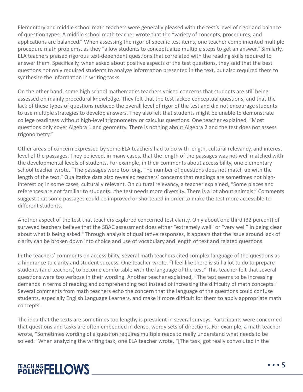Elementary and middle school math teachers were generally pleased with the test's level of rigor and balance of question types. A middle school math teacher wrote that the "variety of concepts, procedures, and applications are balanced." When assessing the rigor of specific test items, one teacher complimented multiple procedure math problems, as they "allow students to conceptualize multiple steps to get an answer." Similarly, ELA teachers praised rigorous text-dependent questions that correlated with the reading skills required to answer them. Specifically, when asked about positive aspects of the test questions, they said that the best questions not only required students to analyze information presented in the text, but also required them to synthesize the information in writing tasks.

On the other hand, some high school mathematics teachers voiced concerns that students are still being assessed on mainly procedural knowledge. They felt that the test lacked conceptual questions, and that the lack of these types of questions reduced the overall level of rigor of the test and did not encourage students to use multiple strategies to develop answers. They also felt that students might be unable to demonstrate college readiness without high-level trigonometry or calculus questions. One teacher explained, "Most questions only cover Algebra 1 and geometry. There is nothing about Algebra 2 and the test does not assess trigonometry."

Other areas of concern expressed by some ELA teachers had to do with length, cultural relevancy, and interest level of the passages. They believed, in many cases, that the length of the passages was not well matched with the developmental levels of students. For example, in their comments about accessibility, one elementary school teacher wrote, "The passages were too long. The number of questions does not match up with the length of the text." Qualitative data also revealed teachers' concerns that readings are sometimes not highinterest or, in some cases, culturally relevant. On cultural relevancy, a teacher explained, "Some places and references are not familiar to students…the test needs more diversity. There is a lot about animals." Comments suggest that some passages could be improved or shortened in order to make the test more accessible to different students.

Another aspect of the test that teachers explored concerned test clarity. Only about one third (32 percent) of surveyed teachers believe that the SBAC assessment does either "extremely well" or "very well" in being clear about what is being asked.<sup>8</sup> Through analysis of qualitative responses, it appears that the issue around lack of clarity can be broken down into choice and use of vocabulary and length of text and related questions.

In the teachers' comments on accessibility, several math teachers cited complex language of the questions as a hindrance to clarity and student success. One teacher wrote, "I feel like there is still a lot to do to prepare students (and teachers) to become comfortable with the language of the test." This teacher felt that several questions were too verbose in their wording. Another teacher explained, "The test seems to be increasing demands in terms of reading and comprehending text instead of increasing the difficulty of math concepts." Several comments from math teachers echo the concern that the language of the questions could confuse students, especially English Language Learners, and make it more difficult for them to apply appropriate math concepts.

The idea that the texts are sometimes too lengthy is prevalent in several surveys. Participants were concerned that questions and tasks are often embedded in dense, wordy sets of directions. For example, a math teacher wrote, "Sometimes wording of a question requires multiple reads to really understand what needs to be solved." When analyzing the writing task, one ELA teacher wrote, "[The task] got really convoluted in the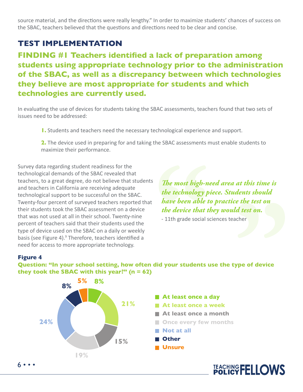source material, and the directions were really lengthy." In order to maximize students' chances of success on the SBAC, teachers believed that the questions and directions need to be clear and concise.

#### **TEST IMPLEMENTATION**

**FINDING #1 Teachers identified a lack of preparation among students using appropriate technology prior to the administration of the SBAC, as well as a discrepancy between which technologies they believe are most appropriate for students and which technologies are currently used.**

In evaluating the use of devices for students taking the SBAC assessments, teachers found that two sets of issues need to be addressed:

**1.** Students and teachers need the necessary technological experience and support.

**2.** The device used in preparing for and taking the SBAC assessments must enable students to maximize their performance.

Survey data regarding student readiness for the technological demands of the SBAC revealed that teachers, to a great degree, do not believe that students and teachers in California are receiving adequate technological support to be successful on the SBAC. Twenty-four percent of surveyed teachers reported that their students took the SBAC assessment on a device that was not used at all in their school. Twenty-nine percent of teachers said that their students used the type of device used on the SBAC on a daily or weekly basis (see Figure 4).<sup>9</sup> Therefore, teachers identified a need for access to more appropriate technology.

*The most high-need area at this time is the technology piece. Students should have been able to practice the test on the device that they would test on.*

- 11th grade social sciences teacher

#### **Figure 4**



**Question: "In your school setting, how often did your students use the type of device they took the SBAC with this year?" (n = 62)**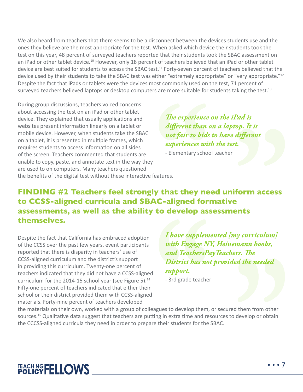We also heard from teachers that there seems to be a disconnect between the devices students use and the ones they believe are the most appropriate for the test. When asked which device their students took the test on this year, 48 percent of surveyed teachers reported that their students took the SBAC assessment on an iPad or other tablet device.<sup>10</sup> However, only 18 percent of teachers believed that an iPad or other tablet device are best suited for students to access the SBAC test.<sup>11</sup> Forty-seven percent of teachers believed that the device used by their students to take the SBAC test was either "extremely appropriate" or "very appropriate."<sup>12</sup> Despite the fact that iPads or tablets were the devices most commonly used on the test, 71 percent of surveyed teachers believed laptops or desktop computers are more suitable for students taking the test.<sup>13</sup>

During group discussions, teachers voiced concerns about accessing the test on an iPad or other tablet device. They explained that usually applications and websites present information linearly on a tablet or mobile device. However, when students take the SBAC on a tablet, it is presented in multiple frames, which requires students to access information on all sides of the screen. Teachers commented that students are unable to copy, paste, and annotate text in the way they are used to on computers. Many teachers questioned the benefits of the digital test without these interactive features.

*The experience on the iPad is different than on a laptop. It is not fair to kids to have different experiences with the test.*

- Elementary school teacher

**FINDING #2 Teachers feel strongly that they need uniform access to CCSS-aligned curricula and SBAC-aligned formative assessments, as well as the ability to develop assessments themselves.** 

Despite the fact that California has embraced adoption of the CCSS over the past few years, event participants reported that there is disparity in teachers' use of CCSS-aligned curriculum and the district's support in providing this curriculum. Twenty-one percent of teachers indicated that they did not have a CCSS-aligned curriculum for the 2014-15 school year (see Figure 5). $14$ Fifty-one percent of teachers indicated that either their school or their district provided them with CCSS-aligned materials. Forty-nine percent of teachers developed

*I have supplemented [my curriculum] with Engage NY, Heinemann books, and TeachersPayTeachers. The District has not provided the needed support.* 

- 3rd grade teacher

the materials on their own, worked with a group of colleagues to develop them, or secured them from other sources.<sup>15</sup> Qualitative data suggest that teachers are putting in extra time and resources to develop or obtain the CCCSS-aligned curricula they need in order to prepare their students for the SBAC.

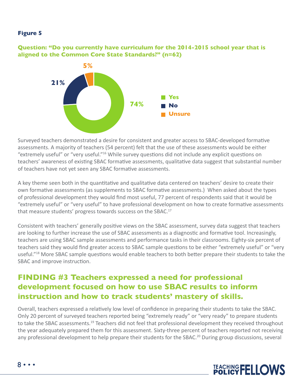#### **Figure 5**

**Question: "Do you currently have curriculum for the 2014-2015 school year that is aligned to the Common Core State Standards?" (n=62)** 



Surveyed teachers demonstrated a desire for consistent and greater access to SBAC-developed formative assessments. A majority of teachers (54 percent) felt that the use of these assessments would be either "extremely useful" or "very useful."<sup>16</sup> While survey questions did not include any explicit questions on teachers' awareness of existing SBAC formative assessments, qualitative data suggest that substantial number of teachers have not yet seen any SBAC formative assessments.

A key theme seen both in the quantitative and qualitative data centered on teachers' desire to create their own formative assessments (as supplements to SBAC formative assessments.) When asked about the types of professional development they would find most useful, 77 percent of respondents said that it would be "extremely useful" or "very useful" to have professional development on how to create formative assessments that measure students' progress towards success on the SBAC.<sup>17</sup>

Consistent with teachers' generally positive views on the SBAC assessment, survey data suggest that teachers are looking to further increase the use of SBAC assessments as a diagnostic and formative tool. Increasingly, teachers are using SBAC sample assessments and performance tasks in their classrooms. Eighty-six percent of teachers said they would find greater access to SBAC sample questions to be either "extremely useful" or "very useful."<sup>18</sup> More SBAC sample questions would enable teachers to both better prepare their students to take the SBAC and improve instruction.

#### **FINDING #3 Teachers expressed a need for professional development focused on how to use SBAC results to inform instruction and how to track students' mastery of skills.**

Overall, teachers expressed a relatively low level of confidence in preparing their students to take the SBAC. Only 20 percent of surveyed teachers reported being "extremely ready" or "very ready" to prepare students to take the SBAC assessments.<sup>19</sup> Teachers did not feel that professional development they received throughout the year adequately prepared them for this assessment. Sixty-three percent of teachers reported not receiving any professional development to help prepare their students for the SBAC.<sup>20</sup> During group discussions, several

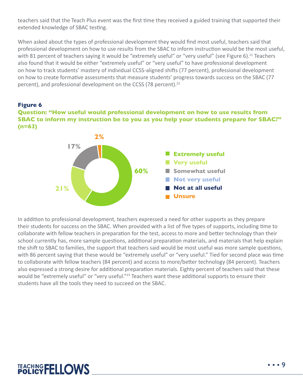teachers said that the Teach Plus event was the first time they received a guided training that supported their extended knowledge of SBAC testing.

When asked about the types of professional development they would find most useful, teachers said that professional development on how to use results from the SBAC to inform instruction would be the most useful, with 81 percent of teachers saying it would be "extremely useful" or "very useful" (see Figure 6).<sup>21</sup> Teachers also found that it would be either "extremely useful" or "very useful" to have professional development on how to track students' mastery of individual CCSS-aligned shifts (77 percent), professional development on how to create formative assessments that measure students' progress towards success on the SBAC (77 percent), and professional development on the CCSS (78 percent).<sup>22</sup>



**Question: "How useful would professional development on how to use results from SBAC to inform my instruction be to you as you help your students prepare for SBAC?" (n=63)** 



In addition to professional development, teachers expressed a need for other supports as they prepare their students for success on the SBAC. When provided with a list of five types of supports, including time to collaborate with fellow teachers in preparation for the test, access to more and better technology than their school currently has, more sample questions, additional preparation materials, and materials that help explain the shift to SBAC to families, the support that teachers said would be most useful was more sample questions, with 86 percent saying that these would be "extremely useful" or "very useful." Tied for second place was time to collaborate with fellow teachers (84 percent) and access to more/better technology (84 percent). Teachers also expressed a strong desire for additional preparation materials. Eighty percent of teachers said that these would be "extremely useful" or "very useful."<sup>23</sup> Teachers want these additional supports to ensure their students have all the tools they need to succeed on the SBAC.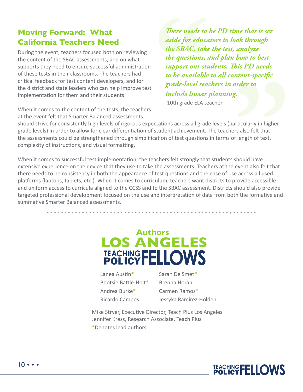#### **Moving Forward: What California Teachers Need**

During the event, teachers focused both on reviewing the content of the SBAC assessments, and on what supports they need to ensure successful administration of these tests in their classrooms. The teachers had critical feedback for test content developers, and for the district and state leaders who can help improve test implementation for them and their students.

When it comes to the content of the tests, the teachers at the event felt that Smarter Balanced assessments

*There needs to be PD time that is set aside for educators to look through the SBAC, take the test, analyze the questions, and plan how to best support our students. This PD needs to be available to all content-specific grade-level teachers in order to include linear planning.*

-10th grade ELA teacher

should strive for consistently high levels of rigorous expectations across all grade levels (particularly in higher grade levels) in order to allow for clear differentiation of student achievement. The teachers also felt that the assessments could be strengthened through simplification of test questions in terms of length of text, complexity of instructions, and visual formatting.

When it comes to successful test implementation, the teachers felt strongly that students should have extensive experience on the device that they use to take the assessments. Teachers at the event also felt that there needs to be consistency in both the appearance of test questions and the ease of use across all used platforms (laptops, tablets, etc.). When it comes to curriculum, teachers want districts to provide accessible and uniform access to curricula aligned to the CCSS and to the SBAC assessment. Districts should also provide targeted professional development focused on the use and interpretation of data from both the formative and summative Smarter Balanced assessments.



Lanea Austin\* Bootsie Battle-Holt\* Andrea Burke\* Ricardo Campos

Sarah De Smet\* Brenna Horan Carmen Ramos\* Jessyka Ramirez-Holden

Mike Stryer, Executive Director, Teach Plus Los Angeles Jennifer Kress, Research Associate, Teach Plus

\*Denotes lead authors

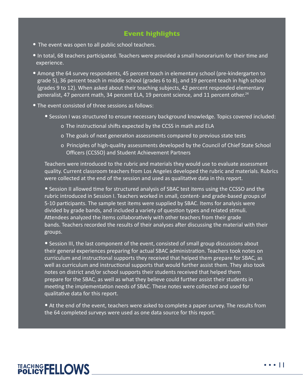#### **Event highlights**

- The event was open to all public school teachers.
- **•** In total, 68 teachers participated. Teachers were provided a small honorarium for their time and experience.
- **•** Among the 64 survey respondents, 45 percent teach in elementary school (pre-kindergarten to grade 5), 36 percent teach in middle school (grades 6 to 8), and 19 percent teach in high school (grades 9 to 12). When asked about their teaching subjects, 42 percent responded elementary generalist, 47 percent math, 34 percent ELA, 19 percent science, and 11 percent other.<sup>24</sup>
- **•** The event consisted of three sessions as follows:
	- **•** Session I was structured to ensure necessary background knowledge. Topics covered included:
		- o The instructional shifts expected by the CCSS in math and ELA
		- o The goals of next generation assessments compared to previous state tests
		- o Principles of high-quality assessments developed by the Council of Chief State School Officers (CCSSO) and Student Achievement Partners

Teachers were introduced to the rubric and materials they would use to evaluate assessment quality. Current classroom teachers from Los Angeles developed the rubric and materials. Rubrics were collected at the end of the session and used as qualitative data in this report.

**•** Session II allowed time for structured analysis of SBAC test items using the CCSSO and the rubric introduced in Session I. Teachers worked in small, content- and grade-based groups of 5-10 participants. The sample test items were supplied by SBAC. Items for analysis were divided by grade bands, and included a variety of question types and related stimuli. Attendees analyzed the items collaboratively with other teachers from their grade bands. Teachers recorded the results of their analyses after discussing the material with their groups.

**•** Session III, the last component of the event, consisted of small group discussions about their general experiences preparing for actual SBAC administration. Teachers took notes on curriculum and instructional supports they received that helped them prepare for SBAC, as well as curriculum and instructional supports that would further assist them. They also took notes on district and/or school supports their students received that helped them prepare for the SBAC, as well as what they believe could further assist their students in meeting the implementation needs of SBAC. These notes were collected and used for qualitative data for this report.

**•** At the end of the event, teachers were asked to complete a paper survey. The results from the 64 completed surveys were used as one data source for this report.

# TEACHING FELLOWS

• • • 11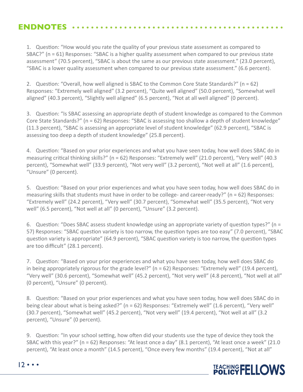#### **ENDNOTES**

1. Question: "How would you rate the quality of your previous state assessment as compared to SBAC?" (n = 61) Responses: "SBAC is a higher quality assessment when compared to our previous state assessment" (70.5 percent), "SBAC is about the same as our previous state assessment." (23.0 percent), "SBAC is a lower quality assessment when compared to our previous state assessment." (6.6 percent).

2. Question: "Overall, how well aligned is SBAC to the Common Core State Standards?" (n = 62) Responses: "Extremely well aligned" (3.2 percent), "Quite well aligned" (50.0 percent), "Somewhat well aligned" (40.3 percent), "Slightly well aligned" (6.5 percent), "Not at all well aligned" (0 percent).

3. Question: "Is SBAC assessing an appropriate depth of student knowledge as compared to the Common Core State Standards?" (n = 62) Responses: "SBAC is assessing too shallow a depth of student knowledge" (11.3 percent), "SBAC is assessing an appropriate level of student knowledge" (62.9 percent), "SBAC is assessing too deep a depth of student knowledge" (25.8 percent).

4. Question: "Based on your prior experiences and what you have seen today, how well does SBAC do in measuring critical thinking skills?" (n = 62) Responses: "Extremely well" (21.0 percent), "Very well" (40.3 percent), "Somewhat well" (33.9 percent), "Not very well" (3.2 percent), "Not well at all" (1.6 percent), "Unsure" (0 percent).

5. Question: "Based on your prior experiences and what you have seen today, how well does SBAC do in measuring skills that students must have in order to be college- and career-ready?" ( $n = 62$ ) Responses: "Extremely well" (24.2 percent), "Very well" (30.7 percent), "Somewhat well" (35.5 percent), "Not very well" (6.5 percent), "Not well at all" (0 percent), "Unsure" (3.2 percent).

6. Question: "Does SBAC assess student knowledge using an appropriate variety of question types?" (n = 57) Responses: "SBAC question variety is too narrow, the question types are too easy" (7.0 percent), "SBAC question variety is appropriate" (64.9 percent), "SBAC question variety is too narrow, the question types are too difficult" (28.1 percent).

7. Question: "Based on your prior experiences and what you have seen today, how well does SBAC do in being appropriately rigorous for the grade level?" ( $n = 62$ ) Responses: "Extremely well" (19.4 percent), "Very well" (30.6 percent), "Somewhat well" (45.2 percent), "Not very well" (4.8 percent), "Not well at all" (0 percent), "Unsure" (0 percent).

8. Question: "Based on your prior experiences and what you have seen today, how well does SBAC do in being clear about what is being asked?" (n = 62) Responses: "Extremely well" (1.6 percent), "Very well" (30.7 percent), "Somewhat well" (45.2 percent), "Not very well" (19.4 percent), "Not well at all" (3.2 percent), "Unsure" (0 percent).

9. Question: "In your school setting, how often did your students use the type of device they took the SBAC with this year?" (n = 62) Responses: "At least once a day" (8.1 percent), "At least once a week" (21.0 percent), "At least once a month" (14.5 percent), "Once every few months" (19.4 percent), "Not at all"



 $12 \cdot \cdot \cdot$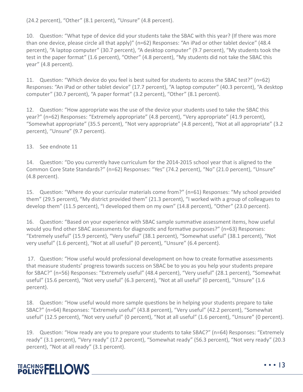(24.2 percent), "Other" (8.1 percent), "Unsure" (4.8 percent).

10. Question: "What type of device did your students take the SBAC with this year? (If there was more than one device, please circle all that apply)" (n=62) Responses: "An iPad or other tablet device" (48.4 percent), "A laptop computer" (30.7 percent), "A desktop computer" (9.7 percent), "My students took the test in the paper format" (1.6 percent), "Other" (4.8 percent), "My students did not take the SBAC this year" (4.8 percent).

11. Question: "Which device do you feel is best suited for students to access the SBAC test?" (n=62) Responses: "An iPad or other tablet device" (17.7 percent), "A laptop computer" (40.3 percent), "A desktop computer" (30.7 percent), "A paper format" (3.2 percent), "Other" (8.1 percent).

12. Question: "How appropriate was the use of the device your students used to take the SBAC this year?" (n=62) Responses: "Extremely appropriate" (4.8 percent), "Very appropriate" (41.9 percent), "Somewhat appropriate" (35.5 percent), "Not very appropriate" (4.8 percent), "Not at all appropriate" (3.2 percent), "Unsure" (9.7 percent).

13. See endnote 11

14. Question: "Do you currently have curriculum for the 2014-2015 school year that is aligned to the Common Core State Standards?" (n=62) Responses: "Yes" (74.2 percent), "No" (21.0 percent), "Unsure" (4.8 percent).

15. Question: "Where do your curricular materials come from?" (n=61) Responses: "My school provided them" (29.5 percent), "My district provided them" (21.3 percent), "I worked with a group of colleagues to develop them" (11.5 percent), "I developed them on my own" (14.8 percent), "Other" (23.0 percent).

16. Question: "Based on your experience with SBAC sample summative assessment items, how useful would you find other SBAC assessments for diagnostic and formative purposes?" (n=63) Responses: "Extremely useful" (15.9 percent), "Very useful" (38.1 percent), "Somewhat useful" (38.1 percent), "Not very useful" (1.6 percent), "Not at all useful" (0 percent), "Unsure" (6.4 percent).

 17. Question: "How useful would professional development on how to create formative assessments that measure students' progress towards success on SBAC be to you as you help your students prepare for SBAC?" (n=56) Responses: "Extremely useful" (48.4 percent), "Very useful" (28.1 percent), "Somewhat useful" (15.6 percent), "Not very useful" (6.3 percent), "Not at all useful" (0 percent), "Unsure" (1.6 percent).

18. Question: "How useful would more sample questions be in helping your students prepare to take SBAC?" (n=64) Responses: "Extremely useful" (43.8 percent), "Very useful" (42.2 percent), "Somewhat useful" (12.5 percent), "Not very useful" (0 percent), "Not at all useful" (1.6 percent), "Unsure" (0 percent).

19. Question: "How ready are you to prepare your students to take SBAC?" (n=64) Responses: "Extremely ready" (3.1 percent), "Very ready" (17.2 percent), "Somewhat ready" (56.3 percent), "Not very ready" (20.3 percent), "Not at all ready" (3.1 percent).



• • • 13